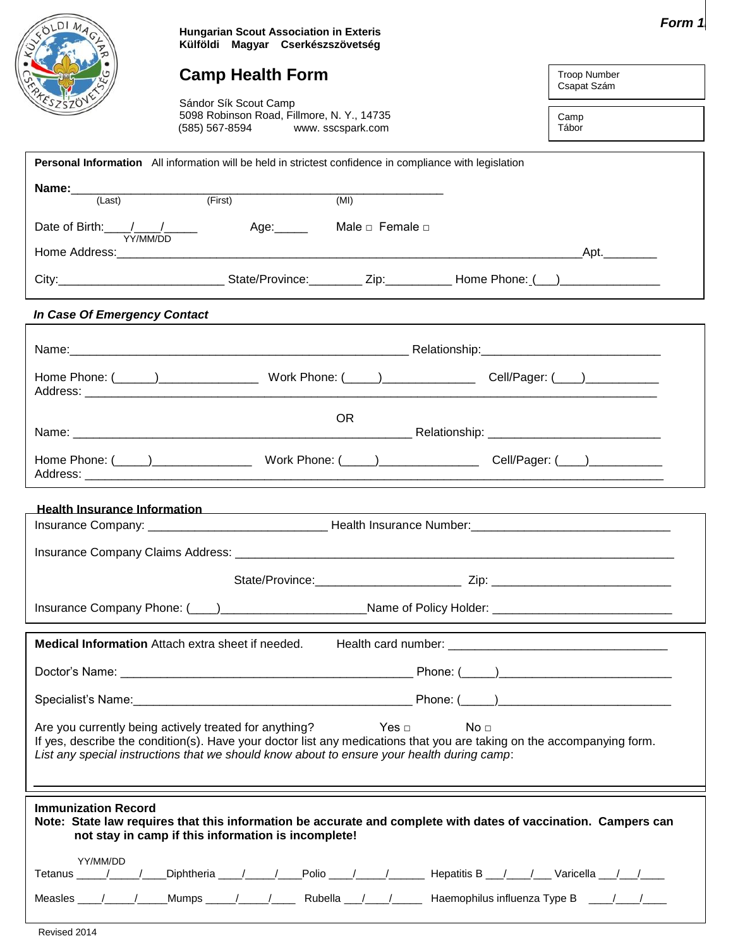